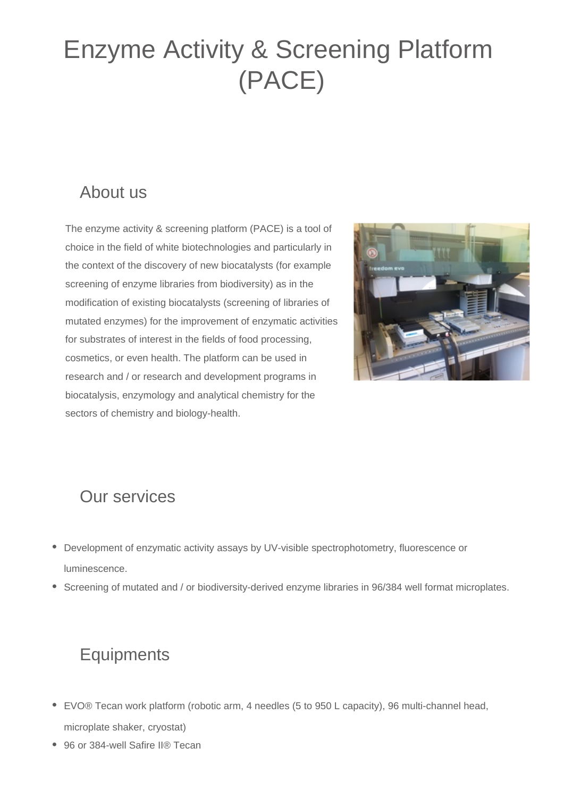### Enzyme Activity & Screening Platform (PACE)

#### About us

The enzyme activity & screening platform (PACE) is a tool of choice in the field of white biotechnologies and particularly in the context of the discovery of new biocatalysts (for example screening of enzyme libraries from biodiversity) as in the modification of existing biocatalysts (screening of libraries of mutated enzymes) for the improvement of enzymatic activities for substrates of interest in the fields of food processing, cosmetics, or even health. The platform can be used in research and / or research and development programs in biocatalysis, enzymology and analytical chemistry for the sectors of chemistry and biology-health.



#### Our services

- Development of enzymatic activity assays by UV-visible spectrophotometry, fluorescence or luminescence.
- Screening of mutated and / or biodiversity-derived enzyme libraries in 96/384 well format microplates.

#### **Equipments**

- EVO® Tecan work platform (robotic arm, 4 needles (5 to 950 L capacity), 96 multi-channel head, microplate shaker, cryostat)
- 96 or 384-well Safire II® Tecan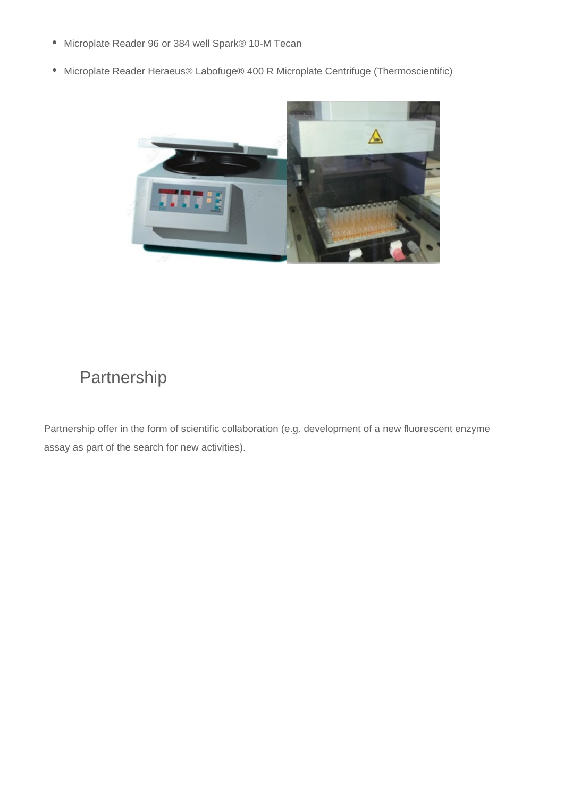- Microplate Reader 96 or 384 well Spark® 10-M Tecan
- Microplate Reader Heraeus® Labofuge® 400 R Microplate Centrifuge (Thermoscientific)



#### Partnership

Partnership offer in the form of scientific collaboration (e.g. development of a new fluorescent enzyme assay as part of the search for new activities).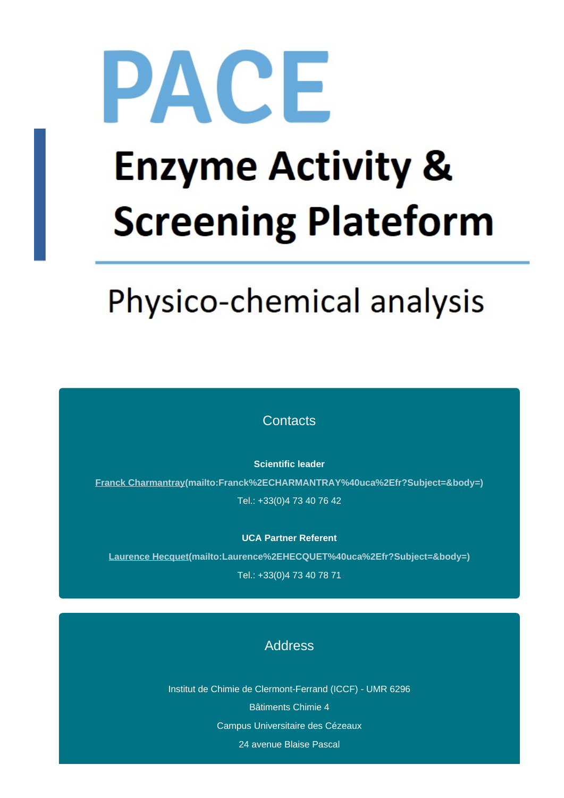# PACE **Enzyme Activity & Screening Plateform**

## Physico-chemical analysis

**Contacts** 

**Scientific leader**

**[Franck Charmantray\(mailto:Franck%2ECHARMANTRAY%40uca%2Efr?Subject=&body=\)](mailto:Franck%2ECHARMANTRAY%40uca%2Efr?Subject=&body=)** Tel.: +33(0)4 73 40 76 42

**UCA Partner Referent**

**[Laurence Hecquet\(mailto:Laurence%2EHECQUET%40uca%2Efr?Subject=&body=\)](mailto:Laurence%2EHECQUET%40uca%2Efr?Subject=&body=)** Tel.: +33(0)4 73 40 78 71

#### Address

Institut de Chimie de Clermont-Ferrand (ICCF) - UMR 6296 Bâtiments Chimie 4 Campus Universitaire des Cézeaux 24 avenue Blaise Pascal